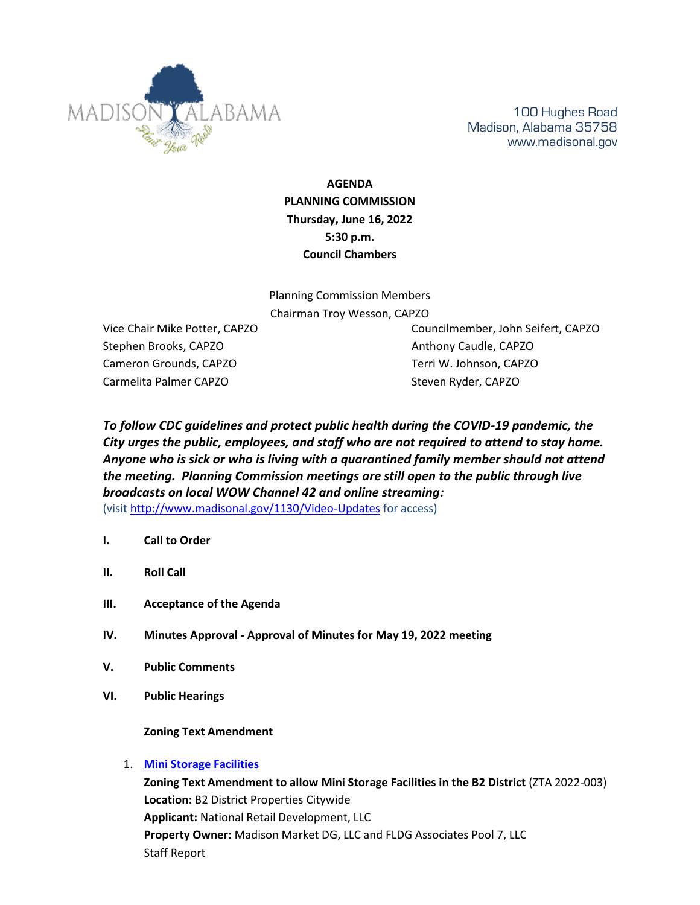

100 Hughes Road Madison, Alabama 35758 www.madisonal.gov

**AGENDA PLANNING COMMISSION Thursday, June 16, 2022 5:30 p.m. Council Chambers**

Planning Commission Members Chairman Troy Wesson, CAPZO

Stephen Brooks, CAPZO **Anthony Caudle, CAPZO** Cameron Grounds, CAPZO Terri W. Johnson, CAPZO Carmelita Palmer CAPZO Steven Ryder, CAPZO

Vice Chair Mike Potter, CAPZO Councilmember, John Seifert, CAPZO

*To follow CDC guidelines and protect public health during the COVID-19 pandemic, the City urges the public, employees, and staff who are not required to attend to stay home. Anyone who is sick or who is living with a quarantined family member should not attend the meeting. Planning Commission meetings are still open to the public through live broadcasts on local WOW Channel 42 and online streaming:* (visit<http://www.madisonal.gov/1130/Video-Updates> for access)

- **I. Call to Order**
- **II. Roll Call**
- **III. Acceptance of the Agenda**
- **IV. Minutes Approval - Approval of Minutes for May 19, 2022 meeting**
- **V. Public Comments**
- **VI. Public Hearings**

**Zoning Text Amendment**

1. **[Mini Storage Facilities](https://www.madisonal.gov/DocumentCenter/View/15987/REPORT---Mini-Storage)**

**Zoning Text Amendment to allow Mini Storage Facilities in the B2 District** (ZTA 2022-003) **Location:** B2 District Properties Citywide **Applicant:** National Retail Development, LLC **Property Owner:** Madison Market DG, LLC and FLDG Associates Pool 7, LLC Staff Report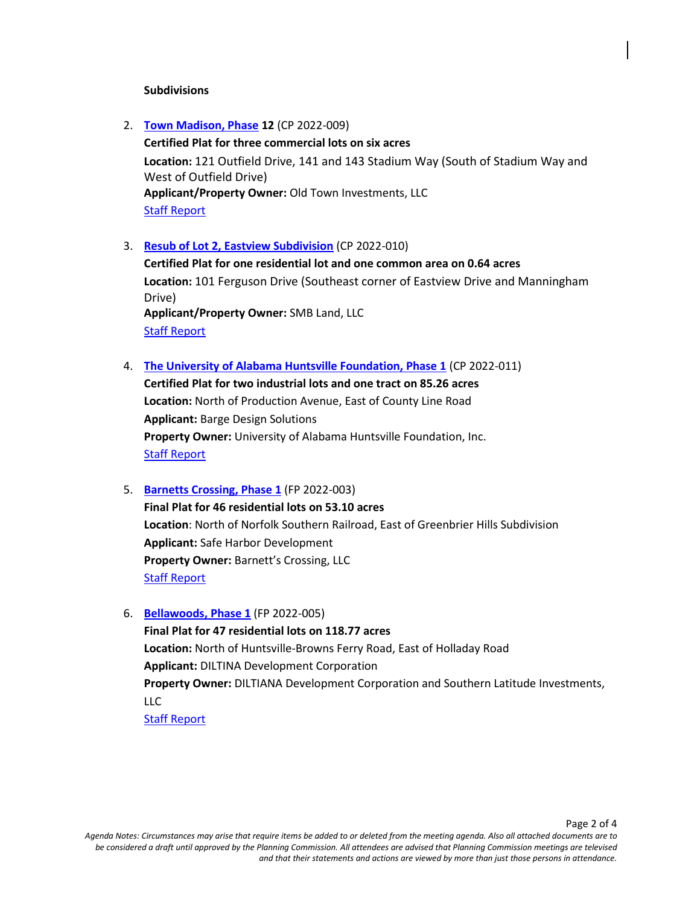#### **Subdivisions**

- 2. **[Town Madison, Phase](https://www.madisonal.gov/DocumentCenter/View/15973/MAP---Town-Madison-12) 12** (CP 2022-009) **Certified Plat for three commercial lots on six acres Location:** 121 Outfield Drive, 141 and 143 Stadium Way (South of Stadium Way and West of Outfield Drive) **Applicant/Property Owner:** Old Town Investments, LLC [Staff Report](https://www.madisonal.gov/DocumentCenter/View/15984/REPORT---Town-Madison-12)
- 3. **[Resub of Lot 2, Eastview Subdivision](https://www.madisonal.gov/DocumentCenter/View/15968/MAP---Eastview)** (CP 2022-010)
	- **Certified Plat for one residential lot and one common area on 0.64 acres Location:** 101 Ferguson Drive (Southeast corner of Eastview Drive and Manningham Drive) **Applicant/Property Owner:** SMB Land, LLC [Staff Report](https://www.madisonal.gov/DocumentCenter/View/15979/REPORT---Eastview-Sub)
- 4. **[The University of Alabama Huntsville Foundation, Phase 1](https://www.madisonal.gov/DocumentCenter/View/15974/MAP---UAH)** (CP 2022-011) **Certified Plat for two industrial lots and one tract on 85.26 acres Location:** North of Production Avenue, East of County Line Road **Applicant:** Barge Design Solutions **Property Owner:** University of Alabama Huntsville Foundation, Inc. [Staff Report](https://www.madisonal.gov/DocumentCenter/View/15985/REPORT---UAH-Property)
- 5. **Barnetts [Crossing, Phase 1](https://www.madisonal.gov/DocumentCenter/View/15966/MAP---Barnett-Crossing)** (FP 2022-003) **Final Plat for 46 residential lots on 53.10 acres Location**: North of Norfolk Southern Railroad, East of Greenbrier Hills Subdivision **Applicant:** Safe Harbor Development **Property Owner:** Barnett's Crossing, LLC [Staff Report](https://www.madisonal.gov/DocumentCenter/View/15986/REPORT---Barnetts-Crossing)
- 6. **[Bellawoods, Phase 1](https://www.madisonal.gov/DocumentCenter/View/15967/MAP---Bellawood)** (FP 2022-005) **Final Plat for 47 residential lots on 118.77 acres Location:** North of Huntsville-Browns Ferry Road, East of Holladay Road **Applicant:** DILTINA Development Corporation **Property Owner:** DILTIANA Development Corporation and Southern Latitude Investments, LLC [Staff Report](https://www.madisonal.gov/DocumentCenter/View/15978/REPORT---Bellawoods)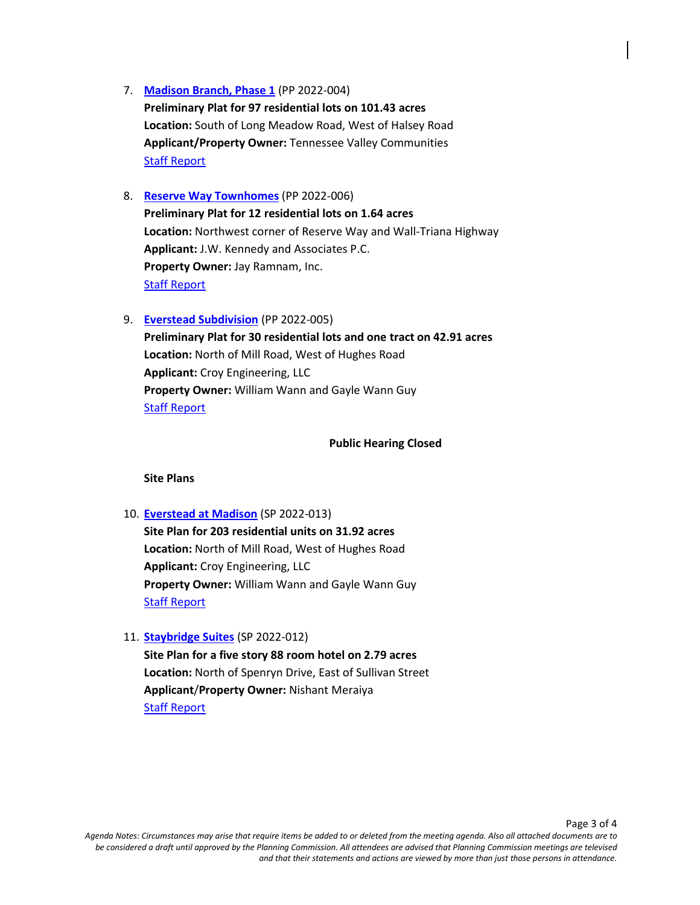- 7. **[Madison Branch, Phase 1](https://www.madisonal.gov/DocumentCenter/View/15969/MAP---Madison-Branch)** (PP 2022-004) **Preliminary Plat for 97 residential lots on 101.43 acres Location:** South of Long Meadow Road, West of Halsey Road **Applicant/Property Owner:** Tennessee Valley Communities [Staff Report](https://www.madisonal.gov/DocumentCenter/View/15981/REPORT---Madison-Branch)
- 8. **[Reserve Way Townhomes](https://www.madisonal.gov/DocumentCenter/View/15971/MAP---Reserve-Way)** (PP 2022-006) **Preliminary Plat for 12 residential lots on 1.64 acres Location:** Northwest corner of Reserve Way and Wall-Triana Highway **Applicant:** J.W. Kennedy and Associates P.C. **Property Owner:** Jay Ramnam, Inc. [Staff Report](https://www.madisonal.gov/DocumentCenter/View/15983/REPORT---Reserve-Way)
- 9. **[Everstead Subdivision](https://www.madisonal.gov/DocumentCenter/View/15975/MAP-PLAT---Everstead)** (PP 2022-005) **Preliminary Plat for 30 residential lots and one tract on 42.91 acres Location:** North of Mill Road, West of Hughes Road **Applicant:** Croy Engineering, LLC **Property Owner:** William Wann and Gayle Wann Guy [Staff Report](https://www.madisonal.gov/DocumentCenter/View/15980/REPORT---Everstead)

#### **Public Hearing Closed**

### **Site Plans**

- 10. **[Everstead at Madison](https://www.madisonal.gov/DocumentCenter/View/15976/MAP-SITE-PLAN---Everstead)** (SP 2022-013) **Site Plan for 203 residential units on 31.92 acres Location:** North of Mill Road, West of Hughes Road **Applicant:** Croy Engineering, LLC **Property Owner:** William Wann and Gayle Wann Guy [Staff Report](https://www.madisonal.gov/DocumentCenter/View/15980/REPORT---Everstead)
- 11. **[Staybridge Suites](https://www.madisonal.gov/DocumentCenter/View/15972/MAP---Staybridge)** (SP 2022-012) **Site Plan for a five story 88 room hotel on 2.79 acres Location:** North of Spenryn Drive, East of Sullivan Street **Applicant**/**Property Owner:** Nishant Meraiya [Staff Report](https://www.madisonal.gov/DocumentCenter/View/15977/REPORT----Staybridge-Suites-SP)